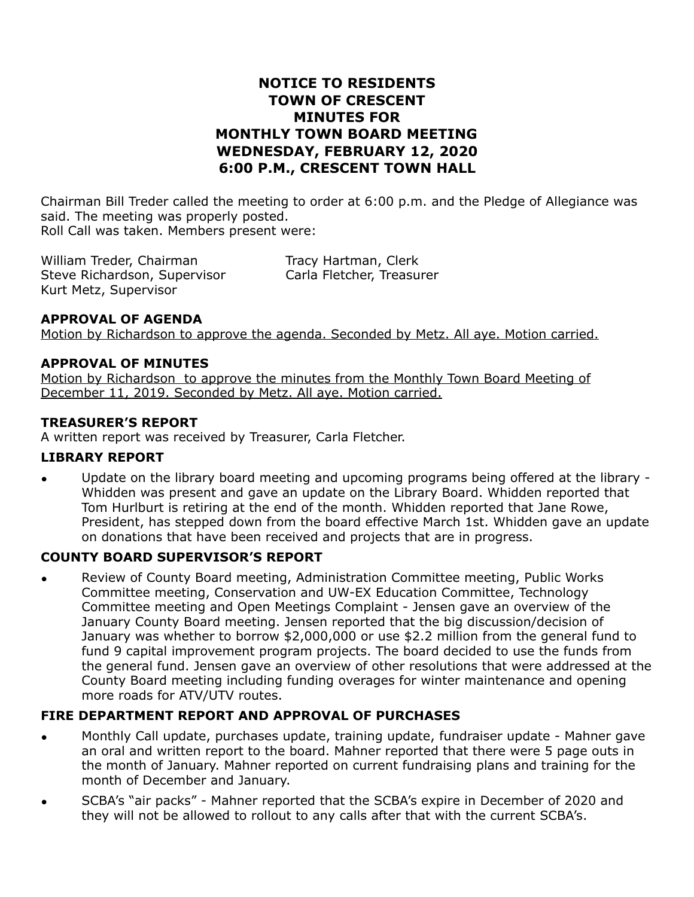# **NOTICE TO RESIDENTS TOWN OF CRESCENT MINUTES FOR MONTHLY TOWN BOARD MEETING WEDNESDAY, FEBRUARY 12, 2020 6:00 P.M., CRESCENT TOWN HALL**

Chairman Bill Treder called the meeting to order at 6:00 p.m. and the Pledge of Allegiance was said. The meeting was properly posted. Roll Call was taken. Members present were:

William Treder, Chairman Tracy Hartman, Clerk Steve Richardson, Supervisor Carla Fletcher, Treasurer Kurt Metz, Supervisor

## **APPROVAL OF AGENDA**

Motion by Richardson to approve the agenda. Seconded by Metz. All aye. Motion carried.

## **APPROVAL OF MINUTES**

Motion by Richardson to approve the minutes from the Monthly Town Board Meeting of December 11, 2019. Seconded by Metz. All aye. Motion carried.

#### **TREASURER'S REPORT**

A written report was received by Treasurer, Carla Fletcher.

#### **LIBRARY REPORT**

• Update on the library board meeting and upcoming programs being offered at the library - Whidden was present and gave an update on the Library Board. Whidden reported that Tom Hurlburt is retiring at the end of the month. Whidden reported that Jane Rowe, President, has stepped down from the board effective March 1st. Whidden gave an update on donations that have been received and projects that are in progress.

## **COUNTY BOARD SUPERVISOR'S REPORT**

• Review of County Board meeting, Administration Committee meeting, Public Works Committee meeting, Conservation and UW-EX Education Committee, Technology Committee meeting and Open Meetings Complaint - Jensen gave an overview of the January County Board meeting. Jensen reported that the big discussion/decision of January was whether to borrow \$2,000,000 or use \$2.2 million from the general fund to fund 9 capital improvement program projects. The board decided to use the funds from the general fund. Jensen gave an overview of other resolutions that were addressed at the County Board meeting including funding overages for winter maintenance and opening more roads for ATV/UTV routes.

## **FIRE DEPARTMENT REPORT AND APPROVAL OF PURCHASES**

- Monthly Call update, purchases update, training update, fundraiser update Mahner gave an oral and written report to the board. Mahner reported that there were 5 page outs in the month of January. Mahner reported on current fundraising plans and training for the month of December and January.
- SCBA's "air packs" Mahner reported that the SCBA's expire in December of 2020 and they will not be allowed to rollout to any calls after that with the current SCBA's.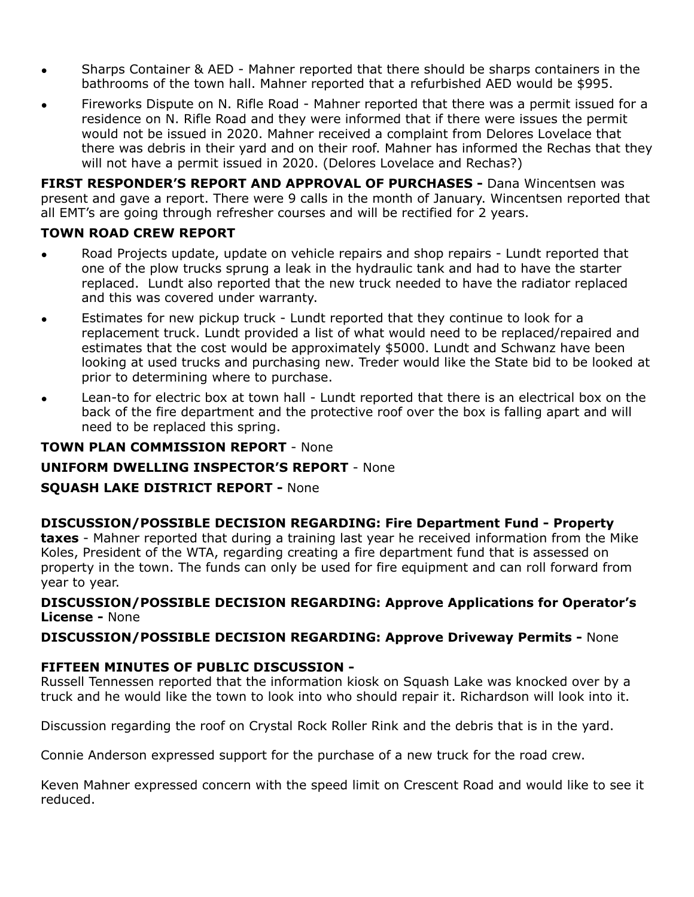- Sharps Container & AED Mahner reported that there should be sharps containers in the bathrooms of the town hall. Mahner reported that a refurbished AED would be \$995.
- Fireworks Dispute on N. Rifle Road Mahner reported that there was a permit issued for a residence on N. Rifle Road and they were informed that if there were issues the permit would not be issued in 2020. Mahner received a complaint from Delores Lovelace that there was debris in their yard and on their roof. Mahner has informed the Rechas that they will not have a permit issued in 2020. (Delores Lovelace and Rechas?)

**FIRST RESPONDER'S REPORT AND APPROVAL OF PURCHASES -** Dana Wincentsen was present and gave a report. There were 9 calls in the month of January. Wincentsen reported that all EMT's are going through refresher courses and will be rectified for 2 years.

# **TOWN ROAD CREW REPORT**

- Road Projects update, update on vehicle repairs and shop repairs Lundt reported that one of the plow trucks sprung a leak in the hydraulic tank and had to have the starter replaced. Lundt also reported that the new truck needed to have the radiator replaced and this was covered under warranty.
- Estimates for new pickup truck Lundt reported that they continue to look for a replacement truck. Lundt provided a list of what would need to be replaced/repaired and estimates that the cost would be approximately \$5000. Lundt and Schwanz have been looking at used trucks and purchasing new. Treder would like the State bid to be looked at prior to determining where to purchase.
- Lean-to for electric box at town hall Lundt reported that there is an electrical box on the back of the fire department and the protective roof over the box is falling apart and will need to be replaced this spring.

## **TOWN PLAN COMMISSION REPORT** - None

# **UNIFORM DWELLING INSPECTOR'S REPORT** - None

## **SQUASH LAKE DISTRICT REPORT -** None

#### **DISCUSSION/POSSIBLE DECISION REGARDING: Fire Department Fund - Property taxes** - Mahner reported that during a training last year he received information from the Mike Koles, President of the WTA, regarding creating a fire department fund that is assessed on property in the town. The funds can only be used for fire equipment and can roll forward from year to year.

## **DISCUSSION/POSSIBLE DECISION REGARDING: Approve Applications for Operator's License -** None

## **DISCUSSION/POSSIBLE DECISION REGARDING: Approve Driveway Permits -** None

# **FIFTEEN MINUTES OF PUBLIC DISCUSSION -**

Russell Tennessen reported that the information kiosk on Squash Lake was knocked over by a truck and he would like the town to look into who should repair it. Richardson will look into it.

Discussion regarding the roof on Crystal Rock Roller Rink and the debris that is in the yard.

Connie Anderson expressed support for the purchase of a new truck for the road crew.

Keven Mahner expressed concern with the speed limit on Crescent Road and would like to see it reduced.